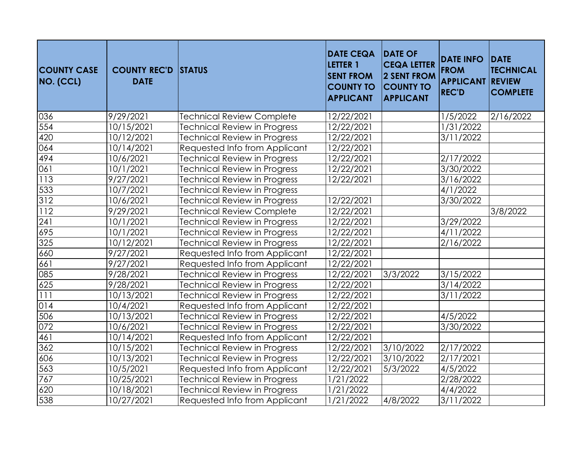| <b>COUNTY CASE</b><br>NO. (CCL) | <b>COUNTY REC'D</b><br><b>DATE</b> | <b>STATUS</b>                       | <b>DATE CEQA</b><br><b>LETTER 1</b><br><b>SENT FROM</b><br><b>COUNTY TO</b><br><b>APPLICANT</b> | <b>DATE OF</b><br><b>CEQA LETTER</b><br>2 SENT FROM<br><b>COUNTY TO</b><br><b>APPLICANT</b> | <b>DATE INFO</b><br><b>FROM</b><br><b>APPLICANT</b><br><b>REC'D</b> | <b>DATE</b><br><b>TECHNICAL</b><br><b>REVIEW</b><br><b>COMPLETE</b> |
|---------------------------------|------------------------------------|-------------------------------------|-------------------------------------------------------------------------------------------------|---------------------------------------------------------------------------------------------|---------------------------------------------------------------------|---------------------------------------------------------------------|
| 036                             | 9/29/2021                          | <b>Technical Review Complete</b>    | 12/22/2021                                                                                      |                                                                                             | 1/5/2022                                                            | 2/16/2022                                                           |
| 554                             | 10/15/2021                         | <b>Technical Review in Progress</b> | $\frac{12}{22}$ /2021                                                                           |                                                                                             | 1/31/2022                                                           |                                                                     |
| 420                             | 10/12/2021                         | <b>Technical Review in Progress</b> | 12/22/2021                                                                                      |                                                                                             | 3/11/2022                                                           |                                                                     |
| 064                             | 10/14/2021                         | Requested Info from Applicant       | 12/22/2021                                                                                      |                                                                                             |                                                                     |                                                                     |
| 494                             | 10/6/2021                          | <b>Technical Review in Progress</b> | 12/22/2021                                                                                      |                                                                                             | $\overline{2/17/2022}$                                              |                                                                     |
| 061                             | 10/1/2021                          | <b>Technical Review in Progress</b> | 12/22/2021                                                                                      |                                                                                             | 3/30/2022                                                           |                                                                     |
| 113                             | 9/27/2021                          | <b>Technical Review in Progress</b> | 12/22/2021                                                                                      |                                                                                             | 3/16/2022                                                           |                                                                     |
| 533                             | 10/7/2021                          | <b>Technical Review in Progress</b> |                                                                                                 |                                                                                             | 4/1/2022                                                            |                                                                     |
| 312                             | 10/6/2021                          | <b>Technical Review in Progress</b> | 12/22/2021                                                                                      |                                                                                             | 3/30/2022                                                           |                                                                     |
| 112                             | 9/29/2021                          | <b>Technical Review Complete</b>    | 12/22/2021                                                                                      |                                                                                             |                                                                     | 3/8/2022                                                            |
| 241                             | 10/1/2021                          | <b>Technical Review in Progress</b> | 12/22/2021                                                                                      |                                                                                             | 3/29/2022                                                           |                                                                     |
| 695                             | 10/1/2021                          | <b>Technical Review in Progress</b> | 12/22/2021                                                                                      |                                                                                             | 4/11/2022                                                           |                                                                     |
| 325                             | 10/12/2021                         | Technical Review in Progress        | 12/22/2021                                                                                      |                                                                                             | 2/16/2022                                                           |                                                                     |
| 660                             | 9/27/2021                          | Requested Info from Applicant       | 12/22/2021                                                                                      |                                                                                             |                                                                     |                                                                     |
| 661                             | 9/27/2021                          | Requested Info from Applicant       | 12/22/2021                                                                                      |                                                                                             |                                                                     |                                                                     |
| 085                             | 9/28/2021                          | <b>Technical Review in Progress</b> | $\frac{12}{22}$ /2021                                                                           | 3/3/2022                                                                                    | 3/15/2022                                                           |                                                                     |
| 625                             | 9/28/2021                          | <b>Technical Review in Progress</b> | 12/22/2021                                                                                      |                                                                                             | 3/14/2022                                                           |                                                                     |
| 111                             | 10/13/2021                         | <b>Technical Review in Progress</b> | 12/22/2021                                                                                      |                                                                                             | 3/11/2022                                                           |                                                                     |
| 014                             | 10/4/2021                          | Requested Info from Applicant       | 12/22/2021                                                                                      |                                                                                             |                                                                     |                                                                     |
| 506                             | 10/13/2021                         | <b>Technical Review in Progress</b> | 12/22/2021                                                                                      |                                                                                             | 4/5/2022                                                            |                                                                     |
| 072                             | 10/6/2021                          | <b>Technical Review in Progress</b> | 12/22/2021                                                                                      |                                                                                             | 3/30/2022                                                           |                                                                     |
| 461                             | 10/14/2021                         | Requested Info from Applicant       | 12/22/2021                                                                                      |                                                                                             |                                                                     |                                                                     |
| 362                             | 10/15/2021                         | <b>Technical Review in Progress</b> | 12/22/2021                                                                                      | 3/10/2022                                                                                   | 2/17/2022                                                           |                                                                     |
| 606                             | 10/13/2021                         | Technical Review in Progress        | 12/22/2021                                                                                      | 3/10/2022                                                                                   | 2/17/2021                                                           |                                                                     |
| 563                             | 10/5/2021                          | Requested Info from Applicant       | 12/22/2021                                                                                      | 5/3/2022                                                                                    | 4/5/2022                                                            |                                                                     |
| 767                             | 10/25/2021                         | <b>Technical Review in Progress</b> | 1/21/2022                                                                                       |                                                                                             | 2/28/2022                                                           |                                                                     |
| 620                             | 10/18/2021                         | <b>Technical Review in Progress</b> | 1/21/2022                                                                                       |                                                                                             | 4/4/2022                                                            |                                                                     |
| 538                             | 10/27/2021                         | Requested Info from Applicant       | 1/21/2022                                                                                       | 4/8/2022                                                                                    | 3/11/2022                                                           |                                                                     |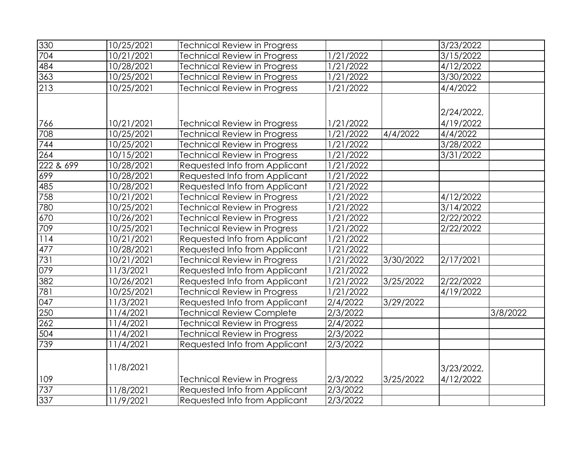| 330              | 10/25/2021 | <b>Technical Review in Progress</b> |                      |           | 3/23/2022  |          |
|------------------|------------|-------------------------------------|----------------------|-----------|------------|----------|
| 704              | 10/21/2021 | <b>Technical Review in Progress</b> | 1/21/2022            |           | 3/15/2022  |          |
| 484              | 10/28/2021 | Technical Review in Progress        | 1/21/2022            |           | 4/12/2022  |          |
| 363              | 10/25/2021 | <b>Technical Review in Progress</b> | 1/21/2022            |           | 3/30/2022  |          |
| 213              | 10/25/2021 | <b>Technical Review in Progress</b> | 1/21/2022            |           | 4/4/2022   |          |
|                  |            |                                     |                      |           | 2/24/2022, |          |
| 766              | 10/21/2021 | <b>Technical Review in Progress</b> | 1/21/2022            |           | 4/19/2022  |          |
| 708              | 10/25/2021 | <b>Technical Review in Progress</b> | 1/21/2022            | 4/4/2022  | 4/4/2022   |          |
| 744              | 10/25/2021 | <b>Technical Review in Progress</b> | 1/21/2022            |           | 3/28/2022  |          |
| $\overline{264}$ | 10/15/2021 | <b>Technical Review in Progress</b> | 1/21/2022            |           | 3/31/2022  |          |
| 222 & 699        | 10/28/2021 | Requested Info from Applicant       | 1/21/2022            |           |            |          |
| 699              | 10/28/2021 | Requested Info from Applicant       | 1/21/2022            |           |            |          |
| 485              | 10/28/2021 | Requested Info from Applicant       | 1/21/2022            |           |            |          |
| 758              | 10/21/2021 | <b>Technical Review in Progress</b> | /21/2022             |           | 4/12/2022  |          |
| 780              | 10/25/2021 | <b>Technical Review in Progress</b> | /21/2022             |           | 3/14/2022  |          |
| 670              | 10/26/2021 | <b>Technical Review in Progress</b> | 1/21/2022            |           | 2/22/2022  |          |
| 709              | 10/25/2021 | <b>Technical Review in Progress</b> | 1/21/2022            |           | 2/22/2022  |          |
| 114              | 10/21/2021 | Requested Info from Applicant       | 1/21/2022            |           |            |          |
| 477              | 10/28/2021 | Requested Info from Applicant       | 1/21/2022            |           |            |          |
| 731              | 10/21/2021 | <b>Technical Review in Progress</b> | 1/21/2022            | 3/30/2022 | 2/17/2021  |          |
| 079              | 11/3/2021  | Requested Info from Applicant       | 1/21/2022            |           |            |          |
| 382              | 10/26/2021 | Requested Info from Applicant       | 1/21/2022            | 3/25/2022 | 2/22/2022  |          |
| 781              | 10/25/2021 | <b>Technical Review in Progress</b> | $\frac{1}{2}$ 1/2022 |           | 4/19/2022  |          |
| 047              | 11/3/2021  | Requested Info from Applicant       | 2/4/2022             | 3/29/2022 |            |          |
| 250              | 11/4/2021  | <b>Technical Review Complete</b>    | 2/3/2022             |           |            | 3/8/2022 |
| 262              | 11/4/2021  | <b>Technical Review in Progress</b> | 2/4/2022             |           |            |          |
| 504              | 11/4/2021  | <b>Technical Review in Progress</b> | 2/3/2022             |           |            |          |
| 739              | 11/4/2021  | Requested Info from Applicant       | 2/3/2022             |           |            |          |
|                  | 11/8/2021  |                                     |                      |           | 3/23/2022, |          |
| 109              |            | <b>Technical Review in Progress</b> | 2/3/2022             | 3/25/2022 | 4/12/2022  |          |
| 737              | 11/8/2021  | Requested Info from Applicant       | 2/3/2022             |           |            |          |
| 337              | 11/9/2021  | Requested Info from Applicant       | 2/3/2022             |           |            |          |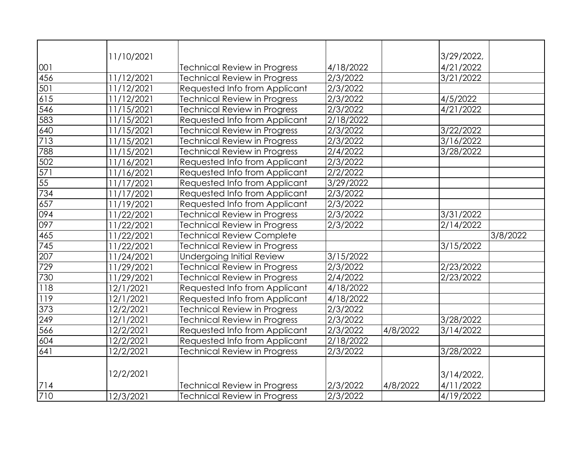|     | 11/10/2021             |                                     |                       |          | 3/29/2022,    |          |
|-----|------------------------|-------------------------------------|-----------------------|----------|---------------|----------|
| 001 |                        | Technical Review in Progress        | 4/18/2022             |          | 4/21/2022     |          |
| 456 | 11/12/2021             | <b>Technical Review in Progress</b> | $\overline{2}/3/2022$ |          | 3/21/2022     |          |
| 501 | 11/12/2021             | Requested Info from Applicant       | 2/3/2022              |          |               |          |
| 615 | 11/12/2021             | <b>Technical Review in Progress</b> | 2/3/2022              |          | 4/5/2022      |          |
| 546 | 11/15/2021             | Technical Review in Progress        | $\sqrt{2}/3/2022$     |          | 4/21/2022     |          |
| 583 | 11/15/2021             | Requested Info from Applicant       | 2/18/2022             |          |               |          |
| 640 | $\frac{11}{11}$ 5/2021 | <b>Technical Review in Progress</b> | 2/3/2022              |          | 3/22/2022     |          |
| 713 | 11/15/2021             | <b>Technical Review in Progress</b> | 2/3/2022              |          | 3/16/2022     |          |
| 788 | 11/15/2021             | <b>Technical Review in Progress</b> | 2/4/2022              |          | 3/28/2022     |          |
| 502 | 11/16/2021             | Requested Info from Applicant       | 2/3/2022              |          |               |          |
| 571 | 11/16/2021             | Requested Info from Applicant       | 2/2/2022              |          |               |          |
| 55  | 11/17/2021             | Requested Info from Applicant       | 3/29/2022             |          |               |          |
| 734 | 11/17/2021             | Requested Info from Applicant       | $\frac{1}{2}/3/2022$  |          |               |          |
| 657 | 11/19/2021             | Requested Info from Applicant       | 2/3/2022              |          |               |          |
| 094 | 11/22/2021             | <b>Technical Review in Progress</b> | 2/3/2022              |          | 3/31/2022     |          |
| 097 | 11/22/2021             | <b>Technical Review in Progress</b> | 2/3/2022              |          | 2/14/2022     |          |
| 465 | 11/22/2021             | <b>Technical Review Complete</b>    |                       |          |               | 3/8/2022 |
| 745 | 11/22/2021             | Technical Review in Progress        |                       |          | 3/15/2022     |          |
| 207 | 11/24/2021             | <b>Undergoing Initial Review</b>    | 3/15/2022             |          |               |          |
| 729 | 11/29/2021             | Technical Review in Progress        | 2/3/2022              |          | 2/23/2022     |          |
| 730 | 11/29/2021             | <b>Technical Review in Progress</b> | 2/4/2022              |          | 2/23/2022     |          |
| 118 | 12/1/2021              | Requested Info from Applicant       | 4/18/2022             |          |               |          |
| 119 | 12/1/2021              | Requested Info from Applicant       | 4/18/2022             |          |               |          |
| 373 | 12/2/2021              | <b>Technical Review in Progress</b> | 2/3/2022              |          |               |          |
| 249 | 12/1/2021              | Technical Review in Progress        | $\overline{2}/3/2022$ |          | 3/28/2022     |          |
| 566 | 12/2/2021              | Requested Info from Applicant       | 2/3/2022              | 4/8/2022 | 3/14/2022     |          |
| 604 | 12/2/2021              | Requested Info from Applicant       | 2/18/2022             |          |               |          |
| 641 | 12/2/2021              | <b>Technical Review in Progress</b> | 2/3/2022              |          | 3/28/2022     |          |
|     |                        |                                     |                       |          |               |          |
|     | 12/2/2021              |                                     |                       |          | $3/14/2022$ , |          |
| 714 |                        | <b>Technical Review in Progress</b> | 2/3/2022              | 4/8/2022 | 4/11/2022     |          |
| 710 | 12/3/2021              | <b>Technical Review in Progress</b> | 2/3/2022              |          | 4/19/2022     |          |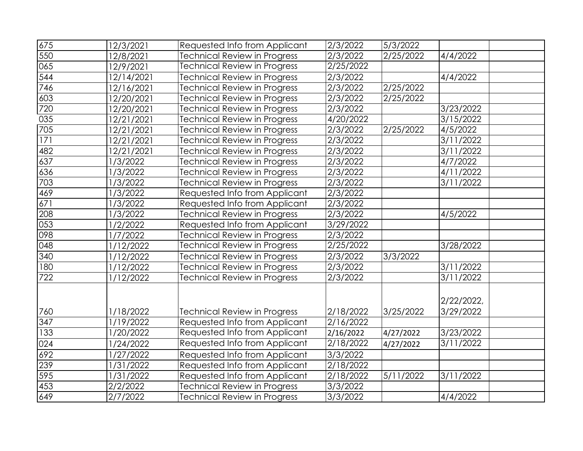| 675 | 12/3/2021  | Requested Info from Applicant       | 2/3/2022            | 5/3/2022  |                        |  |
|-----|------------|-------------------------------------|---------------------|-----------|------------------------|--|
| 550 | 12/8/2021  | <b>Technical Review in Progress</b> | 2/3/2022            | 2/25/2022 | 4/4/2022               |  |
| 065 | 12/9/2021  | <b>Technical Review in Progress</b> | 2/25/2022           |           |                        |  |
| 544 | 12/14/2021 | <b>Technical Review in Progress</b> | $\frac{2}{3}$ /2022 |           | 4/4/2022               |  |
| 746 | 12/16/2021 | <b>Technical Review in Progress</b> | 2/3/2022            | 2/25/2022 |                        |  |
| 603 | 12/20/2021 | <b>Technical Review in Progress</b> | 2/3/2022            | 2/25/2022 |                        |  |
| 720 | 12/20/2021 | <b>Technical Review in Progress</b> | $\sqrt{2}/3/2022$   |           | 3/23/2022              |  |
| 035 | 12/21/2021 | <b>Technical Review in Progress</b> | 4/20/2022           |           | 3/15/2022              |  |
| 705 | 12/21/2021 | <b>Technical Review in Progress</b> | 2/3/2022            | 2/25/2022 | 4/5/2022               |  |
| 171 | 12/21/2021 | <b>Technical Review in Progress</b> | 2/3/2022            |           | $\frac{1}{3}$ /11/2022 |  |
| 482 | 12/21/2021 | <b>Technical Review in Progress</b> | 2/3/2022            |           | 3/11/2022              |  |
| 637 | 1/3/2022   | <b>Technical Review in Progress</b> | 2/3/2022            |           | 4/7/2022               |  |
| 636 | 1/3/2022   | <b>Technical Review in Progress</b> | 2/3/2022            |           | $\frac{1}{4}$ 1/2022   |  |
| 703 | 1/3/2022   | <b>Technical Review in Progress</b> | $\sqrt{2}/3/2022$   |           | 3/11/2022              |  |
| 469 | 1/3/2022   | Requested Info from Applicant       | 2/3/2022            |           |                        |  |
| 671 | 1/3/2022   | Requested Info from Applicant       | 2/3/2022            |           |                        |  |
| 208 | 1/3/2022   | <b>Technical Review in Progress</b> | 2/3/2022            |           | 4/5/2022               |  |
| 053 | 1/2/2022   | Requested Info from Applicant       | 3/29/2022           |           |                        |  |
| 098 | 1/7/2022   | <b>Technical Review in Progress</b> | 2/3/2022            |           |                        |  |
| 048 | 1/12/2022  | <b>Technical Review in Progress</b> | 2/25/2022           |           | 3/28/2022              |  |
| 340 | 1/12/2022  | <b>Technical Review in Progress</b> | 2/3/2022            | 3/3/2022  |                        |  |
| 180 | 1/12/2022  | <b>Technical Review in Progress</b> | 2/3/2022            |           | 3/11/2022              |  |
| 722 | 1/12/2022  | Technical Review in Progress        | 2/3/2022            |           | 3/11/2022              |  |
|     |            |                                     |                     |           |                        |  |
|     |            |                                     |                     |           | 2/22/2022,             |  |
| 760 | 1/18/2022  | <b>Technical Review in Progress</b> | 2/18/2022           | 3/25/2022 | 3/29/2022              |  |
| 347 | 1/19/2022  | Requested Info from Applicant       | 2/16/2022           |           |                        |  |
| 133 | 1/20/2022  | Requested Info from Applicant       | 2/16/2022           | 4/27/2022 | 3/23/2022              |  |
| 024 | 1/24/2022  | Requested Info from Applicant       | 2/18/2022           | 4/27/2022 | 3/11/2022              |  |
| 692 | 1/27/2022  | Requested Info from Applicant       | 3/3/2022            |           |                        |  |
| 239 | 1/31/2022  | Requested Info from Applicant       | 2/18/2022           |           |                        |  |
| 595 | 1/31/2022  | Requested Info from Applicant       | 2/18/2022           | 5/11/2022 | 3/11/2022              |  |
| 453 | 2/2/2022   | <b>Technical Review in Progress</b> | 3/3/2022            |           |                        |  |
| 649 | 2/7/2022   | <b>Technical Review in Progress</b> | 3/3/2022            |           | 4/4/2022               |  |
|     |            |                                     |                     |           |                        |  |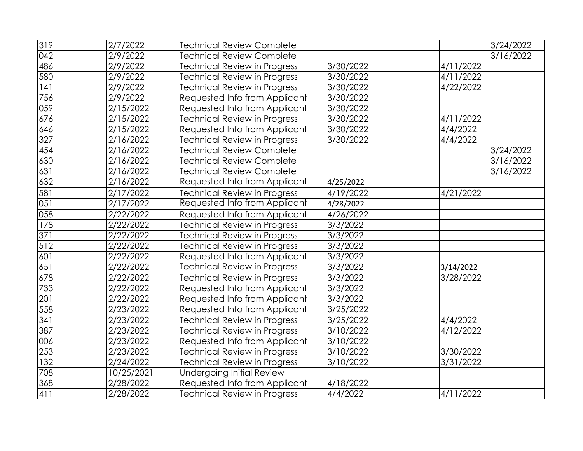| 319 | 2/7/2022            | <b>Technical Review Complete</b>    |                               |           | 3/24/2022 |
|-----|---------------------|-------------------------------------|-------------------------------|-----------|-----------|
| 042 | 2/9/2022            | <b>Technical Review Complete</b>    |                               |           | 3/16/2022 |
| 486 | 2/9/2022            | <b>Technical Review in Progress</b> | 3/30/2022                     | 4/11/2022 |           |
| 580 | 2/9/2022            | <b>Technical Review in Progress</b> | $\frac{1}{3}{\sqrt{30}}/2022$ | 4/11/2022 |           |
| 141 | 2/9/2022            | <b>Technical Review in Progress</b> | 3/30/2022                     | 4/22/2022 |           |
| 756 | 2/9/2022            | Requested Info from Applicant       | 3/30/2022                     |           |           |
| 059 | 2/15/2022           | Requested Info from Applicant       | 3/30/2022                     |           |           |
| 676 | 2/15/2022           | <b>Technical Review in Progress</b> | 3/30/2022                     | 4/11/2022 |           |
| 646 | 2/15/2022           | Requested Info from Applicant       | 3/30/2022                     | 4/4/2022  |           |
| 327 | 2/16/2022           | <b>Technical Review in Progress</b> | 3/30/2022                     | 4/4/2022  |           |
| 454 | 2/16/2022           | <b>Technical Review Complete</b>    |                               |           | 3/24/2022 |
| 630 | 2/16/2022           | <b>Technical Review Complete</b>    |                               |           | 3/16/2022 |
| 631 | 2/16/2022           | <b>Technical Review Complete</b>    |                               |           | 3/16/2022 |
| 632 | 2/16/2022           | Requested Info from Applicant       | 4/25/2022                     |           |           |
| 581 | 2/17/2022           | <b>Technical Review in Progress</b> | 4/19/2022                     | 4/21/2022 |           |
| 051 | 2/17/2022           | Requested Info from Applicant       | 4/28/2022                     |           |           |
| 058 | 2/22/2022           | Requested Info from Applicant       | 4/26/2022                     |           |           |
| 178 | 2/22/2022           | <b>Technical Review in Progress</b> | 3/3/2022                      |           |           |
| 371 | 2/22/2022           | <b>Technical Review in Progress</b> | 3/3/2022                      |           |           |
| 512 | 2/22/2022           | <b>Technical Review in Progress</b> | 3/3/2022                      |           |           |
| 601 | 2/22/2022           | Requested Info from Applicant       | 3/3/2022                      |           |           |
| 651 | 2/22/2022           | <b>Technical Review in Progress</b> | 3/3/2022                      | 3/14/2022 |           |
| 678 | 2/22/2022           | <b>Technical Review in Progress</b> | 3/3/2022                      | 3/28/2022 |           |
| 733 | 2/22/2022           | Requested Info from Applicant       | $\frac{1}{3}/\frac{3}{2022}$  |           |           |
| 201 | 2/22/2022           | Requested Info from Applicant       | 3/3/2022                      |           |           |
| 558 | 2/23/2022           | Requested Info from Applicant       | 3/25/2022                     |           |           |
| 341 | 2/23/2022           | <b>Technical Review in Progress</b> | 3/25/2022                     | 4/4/2022  |           |
| 387 | 2/23/2022           | <b>Technical Review in Progress</b> | 3/10/2022                     | 4/12/2022 |           |
| 006 | $\frac{2}{23}/2022$ | Requested Info from Applicant       | 3/10/2022                     |           |           |
| 253 | 2/23/2022           | <b>Technical Review in Progress</b> | 3/10/2022                     | 3/30/2022 |           |
| 132 | 2/24/2022           | <b>Technical Review in Progress</b> | 3/10/2022                     | 3/31/2022 |           |
| 708 | 10/25/2021          | <b>Undergoing Initial Review</b>    |                               |           |           |
| 368 | 2/28/2022           | Requested Info from Applicant       | 4/18/2022                     |           |           |
| 411 | 2/28/2022           | <b>Technical Review in Progress</b> | 4/4/2022                      | 4/11/2022 |           |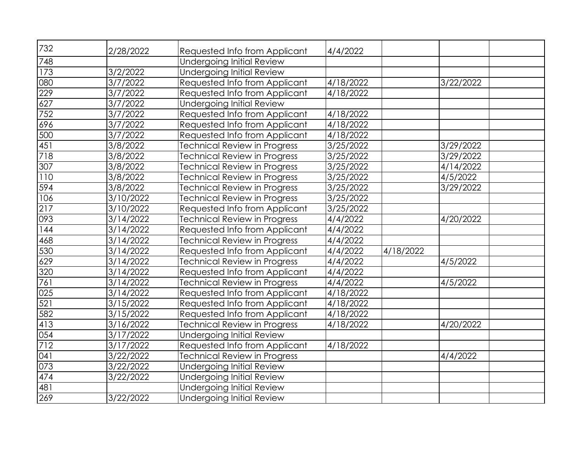| 732 | 2/28/2022             | Requested Info from Applicant       | 4/4/2022                    |           |           |  |
|-----|-----------------------|-------------------------------------|-----------------------------|-----------|-----------|--|
| 748 |                       | <b>Undergoing Initial Review</b>    |                             |           |           |  |
| 173 | 3/2/2022              | <b>Undergoing Initial Review</b>    |                             |           |           |  |
| 080 | 3/7/2022              | Requested Info from Applicant       | 4/18/2022                   |           | 3/22/2022 |  |
| 229 | 3/7/2022              | Requested Info from Applicant       | 4/18/2022                   |           |           |  |
| 627 | 3/7/2022              | <b>Undergoing Initial Review</b>    |                             |           |           |  |
| 752 | $\frac{1}{3}$ /7/2022 | Requested Info from Applicant       | 4/18/2022                   |           |           |  |
| 696 | 3/7/2022              | Requested Info from Applicant       | 4/18/2022                   |           |           |  |
| 500 | 3/7/2022              | Requested Info from Applicant       | 4/18/2022                   |           |           |  |
| 451 | 3/8/2022              | <b>Technical Review in Progress</b> | 3/25/2022                   |           | 3/29/2022 |  |
| 718 | 3/8/2022              | <b>Technical Review in Progress</b> | 3/25/2022                   |           | 3/29/2022 |  |
| 307 | 3/8/2022              | Technical Review in Progress        | 3/25/2022                   |           | 4/14/2022 |  |
| 110 | 3/8/2022              | <b>Technical Review in Progress</b> | 3/25/2022                   |           | 4/5/2022  |  |
| 594 | 3/8/2022              | <b>Technical Review in Progress</b> | 3/25/2022                   |           | 3/29/2022 |  |
| 106 | 3/10/2022             | <b>Technical Review in Progress</b> | 3/25/2022                   |           |           |  |
| 217 | 3/10/2022             | Requested Info from Applicant       | $\frac{3}{25}{\sqrt{2022}}$ |           |           |  |
| 093 | 3/14/2022             | Technical Review in Progress        | 4/4/2022                    |           | 4/20/2022 |  |
| 144 | 3/14/2022             | Requested Info from Applicant       | 4/4/2022                    |           |           |  |
| 468 | 3/14/2022             | <b>Technical Review in Progress</b> | 4/4/2022                    |           |           |  |
| 530 | 3/14/2022             | Requested Info from Applicant       | 4/4/2022                    | 4/18/2022 |           |  |
| 629 | 3/14/2022             | <b>Technical Review in Progress</b> | 4/4/2022                    |           | 4/5/2022  |  |
| 320 | 3/14/2022             | Requested Info from Applicant       | 4/4/2022                    |           |           |  |
| 761 | 3/14/2022             | <b>Technical Review in Progress</b> | 4/4/2022                    |           | 4/5/2022  |  |
| 025 | 3/14/2022             | Requested Info from Applicant       | 4/18/2022                   |           |           |  |
| 521 | 3/15/2022             | Requested Info from Applicant       | 4/18/2022                   |           |           |  |
| 582 | 3/15/2022             | Requested Info from Applicant       | 4/18/2022                   |           |           |  |
| 413 | 3/16/2022             | <b>Technical Review in Progress</b> | 4/18/2022                   |           | 4/20/2022 |  |
| 054 | 3/17/2022             | <b>Undergoing Initial Review</b>    |                             |           |           |  |
| 712 | 3/17/2022             | Requested Info from Applicant       | 4/18/2022                   |           |           |  |
| 041 | 3/22/2022             | <b>Technical Review in Progress</b> |                             |           | 4/4/2022  |  |
| 073 | 3/22/2022             | Undergoing Initial Review           |                             |           |           |  |
| 474 | 3/22/2022             | <b>Undergoing Initial Review</b>    |                             |           |           |  |
| 481 |                       | <b>Undergoing Initial Review</b>    |                             |           |           |  |
| 269 | 3/22/2022             | <b>Undergoing Initial Review</b>    |                             |           |           |  |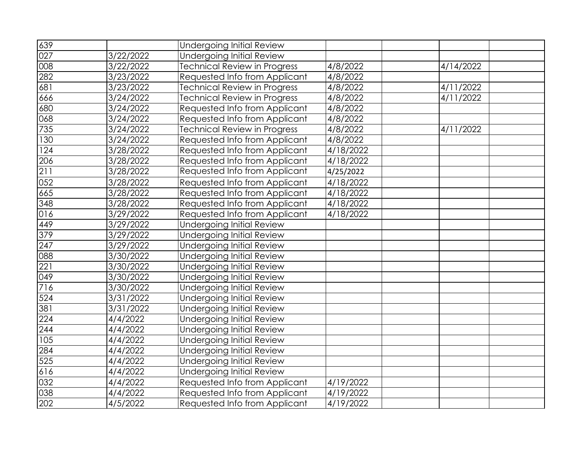| 639 |           | Undergoing Initial Review           |           |           |
|-----|-----------|-------------------------------------|-----------|-----------|
| 027 | 3/22/2022 | <b>Undergoing Initial Review</b>    |           |           |
| 008 | 3/22/2022 | Technical Review in Progress        | 4/8/2022  | 4/14/2022 |
| 282 | 3/23/2022 | Requested Info from Applicant       | 4/8/2022  |           |
| 681 | 3/23/2022 | <b>Technical Review in Progress</b> | 4/8/2022  | 4/11/2022 |
| 666 | 3/24/2022 | <b>Technical Review in Progress</b> | 4/8/2022  | 4/11/2022 |
| 680 | 3/24/2022 | Requested Info from Applicant       | 4/8/2022  |           |
| 068 | 3/24/2022 | Requested Info from Applicant       | 4/8/2022  |           |
| 735 | 3/24/2022 | <b>Technical Review in Progress</b> | 4/8/2022  | 4/11/2022 |
| 130 | 3/24/2022 | Requested Info from Applicant       | 4/8/2022  |           |
| 124 | 3/28/2022 | Requested Info from Applicant       | 4/18/2022 |           |
| 206 | 3/28/2022 | Requested Info from Applicant       | 4/18/2022 |           |
| 211 | 3/28/2022 | Requested Info from Applicant       | 4/25/2022 |           |
| 052 | 3/28/2022 | Requested Info from Applicant       | 4/18/2022 |           |
| 665 | 3/28/2022 | Requested Info from Applicant       | 4/18/2022 |           |
| 348 | 3/28/2022 | Requested Info from Applicant       | 4/18/2022 |           |
| 016 | 3/29/2022 | Requested Info from Applicant       | 4/18/2022 |           |
| 449 | 3/29/2022 | <b>Undergoing Initial Review</b>    |           |           |
| 379 | 3/29/2022 | <b>Undergoing Initial Review</b>    |           |           |
| 247 | 3/29/2022 | <b>Undergoing Initial Review</b>    |           |           |
| 880 | 3/30/2022 | <b>Undergoing Initial Review</b>    |           |           |
| 221 | 3/30/2022 | <b>Undergoing Initial Review</b>    |           |           |
| 049 | 3/30/2022 | <b>Undergoing Initial Review</b>    |           |           |
| 716 | 3/30/2022 | <b>Undergoing Initial Review</b>    |           |           |
| 524 | 3/31/2022 | <b>Undergoing Initial Review</b>    |           |           |
| 381 | 3/31/2022 | <b>Undergoing Initial Review</b>    |           |           |
| 224 | 4/4/2022  | <b>Undergoing Initial Review</b>    |           |           |
| 244 | 4/4/2022  | <b>Undergoing Initial Review</b>    |           |           |
| 105 | 4/4/2022  | <b>Undergoing Initial Review</b>    |           |           |
| 284 | 4/4/2022  | <b>Undergoing Initial Review</b>    |           |           |
| 525 | 4/4/2022  | Undergoing Initial Review           |           |           |
| 616 | 4/4/2022  | <b>Undergoing Initial Review</b>    |           |           |
| 032 | 4/4/2022  | Requested Info from Applicant       | 4/19/2022 |           |
| 038 | 4/4/2022  | Requested Info from Applicant       | 4/19/2022 |           |
| 202 | 4/5/2022  | Requested Info from Applicant       | 4/19/2022 |           |